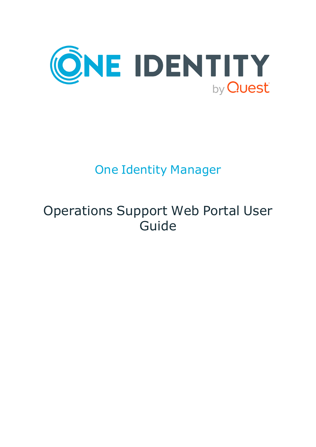

# One Identity Manager

# Operations Support Web Portal User Guide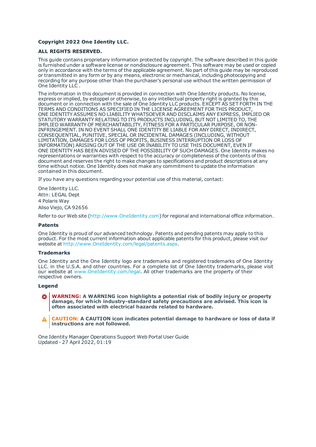#### **Copyright 2022 One Identity LLC.**

#### **ALL RIGHTS RESERVED.**

This guide contains proprietary information protected by copyright. The software described in this guide is furnished under a software license or nondisclosure agreement. This software may be used or copied only in accordance with the terms of the applicable agreement. No part of this guide may be reproduced or transmitted in any form or by any means, electronic or mechanical, including photocopying and recording for any purpose other than the purchaser's personal use without the written permission of One Identity LLC .

The information in this document is provided in connection with One Identity products. No license, express or implied, by estoppel or otherwise, to any intellectual property right is granted by this document or in connection with the sale of One Identity LLC products. EXCEPT AS SET FORTH IN THE TERMS AND CONDITIONS AS SPECIFIED IN THE LICENSE AGREEMENT FOR THIS PRODUCT, ONE IDENTITY ASSUMES NO LIABILITY WHATSOEVER AND DISCLAIMS ANY EXPRESS, IMPLIED OR STATUTORY WARRANTY RELATING TO ITS PRODUCTS INCLUDING, BUT NOT LIMITED TO, THE IMPLIED WARRANTY OF MERCHANTABILITY, FITNESS FOR A PARTICULAR PURPOSE, OR NON-INFRINGEMENT. IN NO EVENT SHALL ONE IDENTITY BE LIABLE FOR ANY DIRECT, INDIRECT, CONSEQUENTIAL, PUNITIVE, SPECIAL OR INCIDENTAL DAMAGES (INCLUDING, WITHOUT LIMITATION, DAMAGES FOR LOSS OF PROFITS, BUSINESS INTERRUPTION OR LOSS OF INFORMATION) ARISING OUT OF THE USE OR INABILITY TO USE THIS DOCUMENT, EVEN IF ONE IDENTITY HAS BEEN ADVISED OF THE POSSIBILITY OF SUCH DAMAGES. One Identity makes no representations or warranties with respect to the accuracy or completeness of the contents of this document and reserves the right to make changes to specifications and product descriptions at any time without notice. One Identity does not make any commitment to update the information contained in this document.

If you have any questions regarding your potential use of this material, contact:

One Identity LLC. Attn: LEGAL Dept 4 Polaris Way Aliso Viejo, CA 92656

Refer to our Web site ([http://www.OneIdentity.com](http://www.oneidentity.com/)) for regional and international office information.

#### **Patents**

One Identity is proud of our advanced technology. Patents and pending patents may apply to this product. For the most current information about applicable patents for this product, please visit our website at [http://www.OneIdentity.com/legal/patents.aspx](http://www.oneidentity.com/legal/patents.aspx).

#### **Trademarks**

One Identity and the One Identity logo are trademarks and registered trademarks of One Identity LLC. in the U.S.A. and other countries. For a complete list of One Identity trademarks, please visit our website at [www.OneIdentity.com/legal](http://www.oneidentity.com/legal). All other trademarks are the property of their respective owners.

#### **Legend**

**WARNING: A WARNING icon highlights a potential risk of bodily injury or property damage, for which industry-standard safety precautions are advised. This icon is often associated with electrical hazards related to hardware.**

**CAUTION: A CAUTION icon indicates potential damage to hardware or loss of data if** A **instructions are not followed.**

One Identity Manager Operations Support Web Portal User Guide Updated - 27 April 2022, 01:19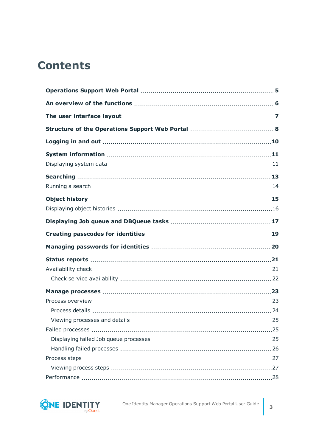## **Contents**

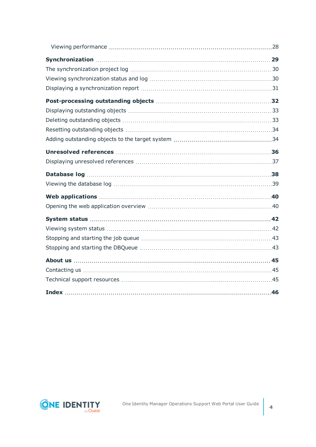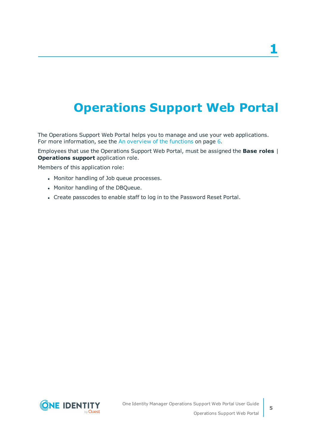# <span id="page-4-0"></span>**Operations Support Web Portal**

The Operations Support Web Portal helps you to manage and use your web applications. For more information, see the An [overview](#page-5-0) of the functions on page 6.

Employees that use the Operations Support Web Portal, must be assigned the **Base roles** | **Operations support** application role.

Members of this application role:

- Monitor handling of Job queue processes.
- Monitor handling of the DBQueue.
- Create passcodes to enable staff to log in to the Password Reset Portal.

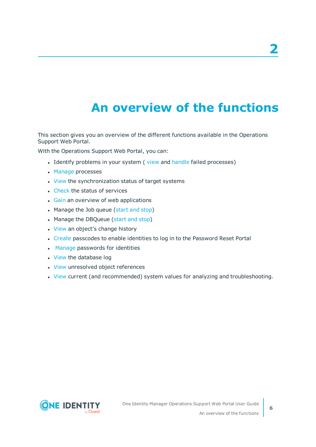# **An overview of the functions**

<span id="page-5-0"></span>This section gives you an overview of the different functions available in the Operations Support Web Portal.

With the Operations Support Web Portal, you can:

- Identify problems in your system (view and [handle](#page-25-0) failed processes)
- [Manage](#page-22-0) processes
- [View](#page-28-0) the synchronization status of target systems
- [Check](#page-20-1) the status of services
- **.** [Gain](#page-39-0) an overview of web applications
- Manage the Job queue [\(start](#page-42-0) and stop)
- Manage the DBQueue [\(start](#page-42-1) and stop)
- [View](#page-14-0) an object's change history
- <sup>l</sup> [Create](#page-18-0) passcodes to enable identities to log in to the Password Reset Portal
- . [Manage](#page-19-0) passwords for identities
- [View](#page-37-0) the database log
- [View](#page-35-0) unresolved object references
- [View](#page-10-0) current (and recommended) system values for analyzing and troubleshooting.

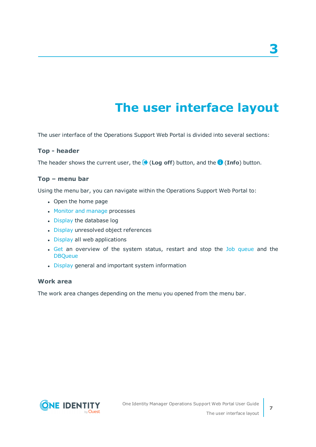# **The user interface layout**

<span id="page-6-0"></span>The user interface of the Operations Support Web Portal is divided into several sections:

#### **Top - header**

The header shows the current user, the (**Log off**) button, and the (**Info**) button.

#### **Top – menu bar**

Using the menu bar, you can navigate within the Operations Support Web Portal to:

- Open the home page
- Monitor and [manage](#page-22-0) processes
- [Display](#page-37-0) the database log
- [Display](#page-35-0) unresolved object references
- [Display](#page-39-0) all web applications
- [Get](#page-41-1) an overview of the system status, restart and stop the Job [queue](#page-42-0) and the **[DBQueue](#page-42-1)**
- [Display](#page-10-0) general and important system information

#### **Work area**

The work area changes depending on the menu you opened from the menu bar.

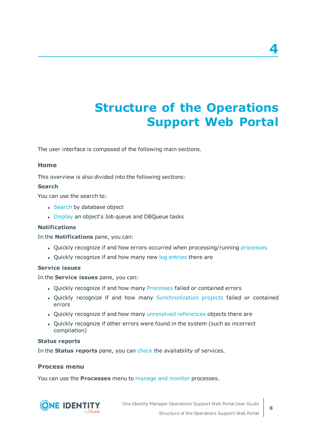# <span id="page-7-0"></span>**Structure of the Operations Support Web Portal**

The user interface is composed of the following main sections.

#### **Home**

This overview is also divided into the following sections:

#### **Search**

You can use the search to:

- [Search](#page-12-0) by database object
- [Display](#page-16-0) an object's Job queue and DBQueue tasks

#### **Notifications**

In the **Notifications** pane, you can:

- Quickly recognize if and how errors occurred when processing/running [processes](#page-22-0)
- Quickly recognize if and how many new log [entries](#page-37-0) there are

#### **Service issues**

In the **Service issues** pane, you can:

- Quickly recognize if and how many [Processes](#page-24-2) failed or contained errors
- Quickly recognize if and how many [Synchronization](#page-28-0) projects failed or contained errors
- Quickly recognize if and how many [unresolved](#page-35-0) references objects there are
- Quickly recognize if other errors were found in the system (such as incorrect compilation)

#### **Status reports**

In the **Status reports** pane, you can [check](#page-21-0) the availability of services.

#### **Process menu**

You can use the **Processes** menu to [manage](#page-22-0) and monitor processes.



One Identity Manager Operations Support Web Portal User Guide Structure of the Operations Support Web Portal **4**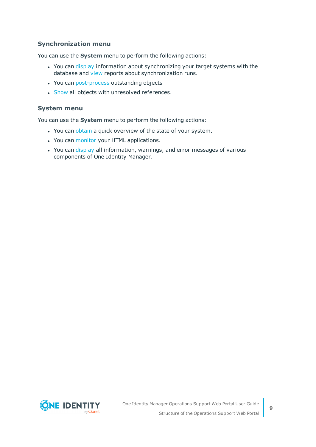#### **Synchronization menu**

You can use the **System** menu to perform the following actions:

- You can [display](#page-29-1) information about synchronizing your target systems with the database and [view](#page-30-0) reports about synchronization runs.
- You can [post-process](#page-31-0) outstanding objects
- [Show](#page-35-0) all objects with unresolved references.

#### **System menu**

You can use the **System** menu to perform the following actions:

- You can [obtain](#page-41-0) a quick overview of the state of your system.
- You can [monitor](#page-39-0) your HTML applications.
- You can [display](#page-38-0) all information, warnings, and error messages of various components of One Identity Manager.

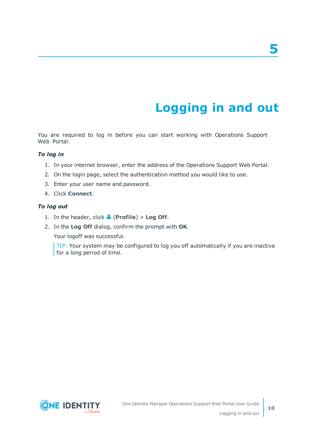# **Logging in and out**

<span id="page-9-0"></span>You are required to log in before you can start working with Operations Support Web Portal.

#### *To log in*

- 1. In your internet browser, enter the address of the Operations Support Web Portal.
- 2. On the login page, select the authentication method you would like to use.
- 3. Enter your user name and password.
- 4. Click **Connect**.

#### *To log out*

- 1. In the header, click (**Profile**) > **Log Off**.
- 2. In the **Log Off** dialog, confirm the prompt with **OK**.

Your logoff was successful.

TIP: Your system may be configured to log you off automatically if you are inactive for a long period of time.

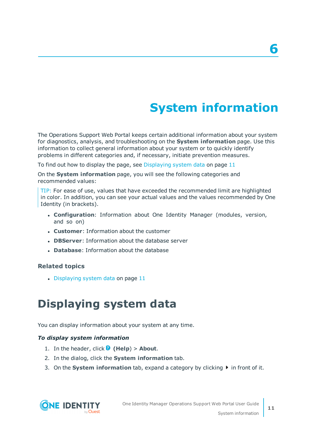# **System information**

**6**

<span id="page-10-0"></span>The Operations Support Web Portal keeps certain additional information about your system for diagnostics, analysis, and troubleshooting on the **System information** page. Use this information to collect general information about your system or to quickly identify problems in different categories and, if necessary, initiate prevention measures.

To find out how to display the page, see [Displaying](#page-10-1) system data on page 11

On the **System information** page, you will see the following categories and recommended values:

TIP: For ease of use, values that have exceeded the recommended limit are highlighted in color. In addition, you can see your actual values and the values recommended by One Identity (in brackets).

- **. Configuration**: Information about One Identity Manager (modules, version, and so on)
- **Customer:** Information about the customer
- **. DBServer:** Information about the database server
- **.** Database: Information about the database

#### **Related topics**

<span id="page-10-1"></span> $\bullet$  [Displaying](#page-10-1) system data on page 11

## **Displaying system data**

You can display information about your system at any time.

#### *To display system information*

- 1. In the header, click  $\bullet$  (Help) > About.
- 2. In the dialog, click the **System information** tab.
- 3. On the **System information** tab, expand a category by clicking  $\blacktriangleright$  in front of it.

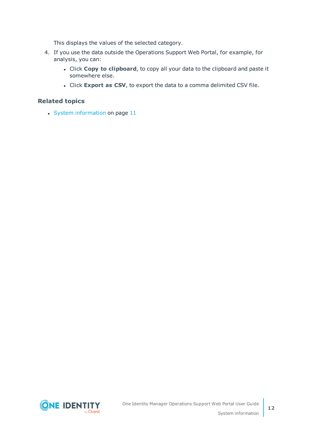This displays the values of the selected category.

- 4. If you use the data outside the Operations Support Web Portal, for example, for analysis, you can:
	- <sup>l</sup> Click **Copy to clipboard**, to copy all your data to the clipboard and paste it somewhere else.
	- <sup>l</sup> Click **Export as CSV**, to export the data to a comma delimited CSV file.

#### **Related topics**

 $\cdot$  System [information](#page-10-0) on page 11

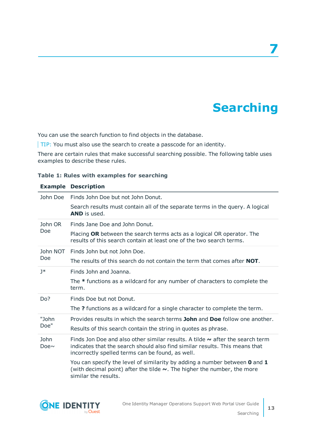# **Searching**

**7**

<span id="page-12-0"></span>You can use the search function to find objects in the database.

TIP: You must also use the search to create a passcode for an identity.

There are certain rules that make successful searching possible. The following table uses examples to describe these rules.

**Table 1: Rules with examples for searching**

|                           | <b>Example Description</b>                                                                                                                                                                                            |
|---------------------------|-----------------------------------------------------------------------------------------------------------------------------------------------------------------------------------------------------------------------|
| John Doe                  | Finds John Doe but not John Donut.                                                                                                                                                                                    |
|                           | Search results must contain all of the separate terms in the query. A logical<br><b>AND</b> is used.                                                                                                                  |
| John OR                   | Finds Jane Doe and John Donut.                                                                                                                                                                                        |
| Doe                       | Placing OR between the search terms acts as a logical OR operator. The<br>results of this search contain at least one of the two search terms.                                                                        |
| John NOT                  | Finds John but not John Doe.                                                                                                                                                                                          |
| Doe                       | The results of this search do not contain the term that comes after <b>NOT</b> .                                                                                                                                      |
| $1*$                      | Finds John and Joanna.                                                                                                                                                                                                |
|                           | The * functions as a wildcard for any number of characters to complete the<br>term.                                                                                                                                   |
| Do?                       | Finds Doe but not Donut.                                                                                                                                                                                              |
|                           | The ? functions as a wildcard for a single character to complete the term.                                                                                                                                            |
| "John                     | Provides results in which the search terms <b>John</b> and <b>Doe</b> follow one another.                                                                                                                             |
| Doe"                      | Results of this search contain the string in quotes as phrase.                                                                                                                                                        |
| <b>John</b><br>Doe $\sim$ | Finds Jon Doe and also other similar results. A tilde $\sim$ after the search term<br>indicates that the search should also find similar results. This means that<br>incorrectly spelled terms can be found, as well. |
|                           | You can specify the level of similarity by adding a number between 0 and 1<br>(with decimal point) after the tilde $\sim$ . The higher the number, the more<br>similar the results.                                   |

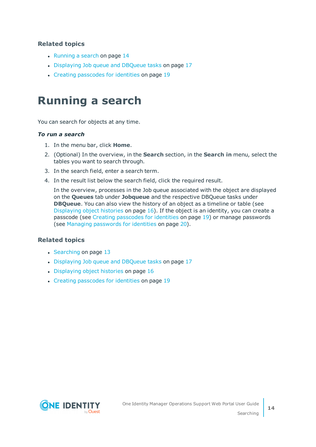#### **Related topics**

- $\cdot$  [Running](#page-13-0) a search on page 14
- [Displaying](#page-16-0) Job queue and DBQueue tasks on page 17
- Creating [passcodes](#page-18-0) for identities on page 19

## <span id="page-13-0"></span>**Running a search**

You can search for objects at any time.

#### *To run a search*

- 1. In the menu bar, click **Home**.
- 2. (Optional) In the overview, in the **Search** section, in the **Search in** menu, select the tables you want to search through.
- 3. In the search field, enter a search term.
- 4. In the result list below the search field, click the required result.

In the overview, processes in the Job queue associated with the object are displayed on the **Queues** tab under **Jobqueue** and the respective DBQueue tasks under **DBQueue**. You can also view the history of an object as a timeline or table (see [Displaying](#page-15-0) object histories on page  $16$ ). If the object is an identity, you can create a passcode (see Creating [passcodes](#page-18-0) for identities on page 19) or manage passwords (see Managing [passwords](#page-19-0) for identities on page 20).

- $\cdot$  [Searching](#page-12-0) on page 13
- [Displaying](#page-16-0) Job queue and DBQueue tasks on page 17
- $\bullet$  [Displaying](#page-15-0) object histories on page  $16$
- Creating [passcodes](#page-18-0) for identities on page 19

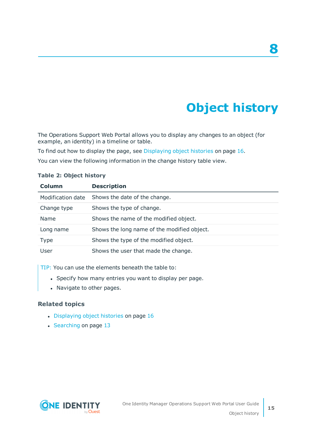# **Object history**

<span id="page-14-0"></span>The Operations Support Web Portal allows you to display any changes to an object (for example, an identity) in a timeline or table.

To find out how to display the page, see [Displaying](#page-15-0) object histories on page 16.

You can view the following information in the change history table view.

| Column            | <b>Description</b>                          |
|-------------------|---------------------------------------------|
| Modification date | Shows the date of the change.               |
| Change type       | Shows the type of change.                   |
| Name              | Shows the name of the modified object.      |
| Long name         | Shows the long name of the modified object. |
| <b>Type</b>       | Shows the type of the modified object.      |
| User              | Shows the user that made the change.        |

#### **Table 2: Object history**

TIP: You can use the elements beneath the table to:

- Specify how many entries you want to display per page.
- Navigate to other pages.

- [Displaying](#page-15-0) object histories on page 16
- [Searching](#page-12-0) on page 13

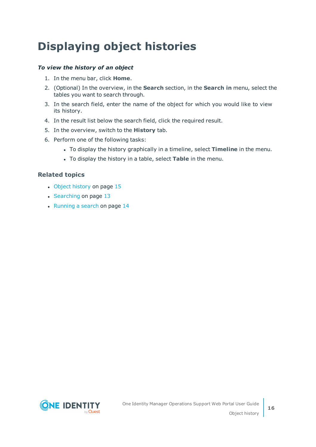# <span id="page-15-0"></span>**Displaying object histories**

#### *To view the history of an object*

- 1. In the menu bar, click **Home**.
- 2. (Optional) In the overview, in the **Search** section, in the **Search in** menu, select the tables you want to search through.
- 3. In the search field, enter the name of the object for which you would like to view its history.
- 4. In the result list below the search field, click the required result.
- 5. In the overview, switch to the **History** tab.
- 6. Perform one of the following tasks:
	- <sup>l</sup> To display the history graphically in a timeline, select **Timeline** in the menu.
	- **.** To display the history in a table, select Table in the menu.

- Object [history](#page-14-0) on page 15
- $\cdot$  [Searching](#page-12-0) on page 13
- [Running](#page-13-0) a search on page 14

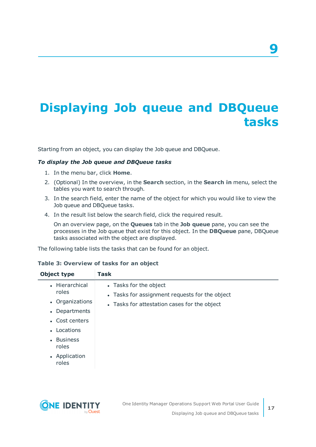# <span id="page-16-0"></span>**Displaying Job queue and DBQueue tasks**

Starting from an object, you can display the Job queue and DBQueue.

#### *To display the Job queue and DBQueue tasks*

- 1. In the menu bar, click **Home**.
- 2. (Optional) In the overview, in the **Search** section, in the **Search in** menu, select the tables you want to search through.
- 3. In the search field, enter the name of the object for which you would like to view the Job queue and DBQueue tasks.
- 4. In the result list below the search field, click the required result.

On an overview page, on the **Queues** tab in the **Job queue** pane, you can see the processes in the Job queue that exist for this object. In the **DBQueue** pane, DBQueue tasks associated with the object are displayed.

The following table lists the tasks that can be found for an object.

#### **Table 3: Overview of tasks for an object**

| • Hierarchical<br>• Tasks for the object<br>roles<br>• Tasks for assignment requests for the object<br>• Organizations<br>• Tasks for attestation cases for the object<br>• Departments<br>• Cost centers<br>• Locations<br>• Business<br>roles<br>• Application<br>roles | Object type | <b>Task</b> |
|---------------------------------------------------------------------------------------------------------------------------------------------------------------------------------------------------------------------------------------------------------------------------|-------------|-------------|
|                                                                                                                                                                                                                                                                           |             |             |



**9**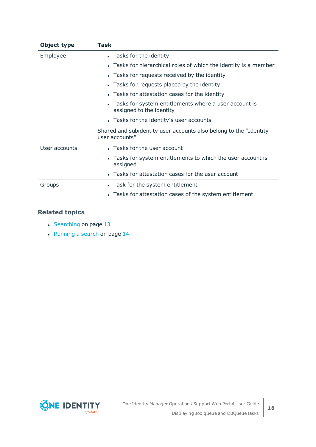| Object type   | Task                                                                                  |
|---------------|---------------------------------------------------------------------------------------|
| Employee      | • Tasks for the identity                                                              |
|               | • Tasks for hierarchical roles of which the identity is a member                      |
|               | • Tasks for requests received by the identity                                         |
|               | • Tasks for requests placed by the identity                                           |
|               | • Tasks for attestation cases for the identity                                        |
|               | • Tasks for system entitlements where a user account is<br>assigned to the identity   |
|               | • Tasks for the identity's user accounts                                              |
|               | Shared and subidentity user accounts also belong to the "Identity"<br>user accounts". |
| User accounts | • Tasks for the user account                                                          |
|               | • Tasks for system entitlements to which the user account is<br>assigned              |
|               | • Tasks for attestation cases for the user account                                    |
| Groups        | • Task for the system entitlement                                                     |
|               | • Tasks for attestation cases of the system entitlement                               |

- [Searching](#page-12-0) on page 13
- $\cdot$  [Running](#page-13-0) a search on page 14

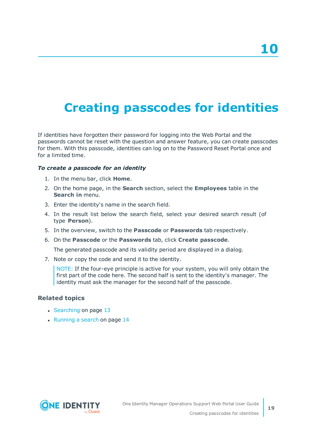# <span id="page-18-0"></span>**Creating passcodes for identities**

If identities have forgotten their password for logging into the Web Portal and the passwords cannot be reset with the question and answer feature, you can create passcodes for them. With this passcode, identities can log on to the Password Reset Portal once and for a limited time.

#### *To create a passcode for an identity*

- 1. In the menu bar, click **Home**.
- 2. On the home page, in the **Search** section, select the **Employees** table in the **Search in** menu.
- 3. Enter the identity's name in the search field.
- 4. In the result list below the search field, select your desired search result (of type **Person**).
- 5. In the overview, switch to the **Passcode** or **Passwords** tab respectively.
- 6. On the **Passcode** or the **Passwords** tab, click **Create passcode**.

The generated passcode and its validity period are displayed in a dialog.

7. Note or copy the code and send it to the identity.

NOTE: If the four-eye principle is active for your system, you will only obtain the first part of the code here. The second half is sent to the identity's manager. The identity must ask the manager for the second half of the passcode.

- [Searching](#page-12-0) on page 13
- $\cdot$  [Running](#page-13-0) a search on page 14

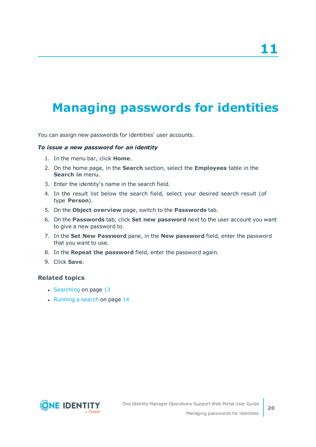# <span id="page-19-0"></span>**Managing passwords for identities**

You can assign new passwords for identities' user accounts.

#### *To issue a new password for an identity*

- 1. In the menu bar, click **Home**.
- 2. On the home page, in the **Search** section, select the **Employees** table in the **Search in** menu.
- 3. Enter the identity's name in the search field.
- 4. In the result list below the search field, select your desired search result (of type **Person**).
- 5. On the **Object overview** page, switch to the **Passwords** tab.
- 6. On the **Passwords** tab, click **Set new password** next to the user account you want to give a new password to.
- 7. In the **Set New Password** pane, in the **New password** field, enter the password that you want to use.
- 8. In the **Repeat the password** field, enter the password again.
- 9. Click **Save**.

- $\cdot$  [Searching](#page-12-0) on page 13
- $\cdot$  [Running](#page-13-0) a search on page 14

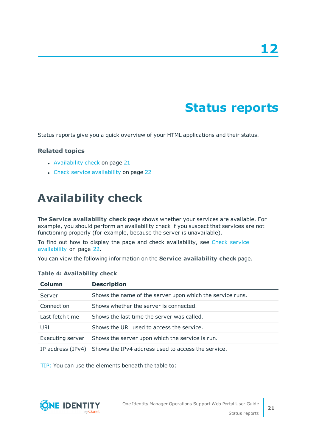# **Status reports**

<span id="page-20-0"></span>Status reports give you a quick overview of your HTML applications and their status.

#### **Related topics**

- [Availability](#page-20-1) check on page 21
- Check service [availability](#page-21-0) on page 22

## <span id="page-20-1"></span>**Availability check**

The **Service availability check** page shows whether your services are available. For example, you should perform an availability check if you suspect that services are not functioning properly (for example, because the server is unavailable).

To find out how to display the page and check availability, see Check [service](#page-21-0) [availability](#page-21-0) on page 22.

You can view the following information on the **Service availability check** page.

| Column            | <b>Description</b>                                        |
|-------------------|-----------------------------------------------------------|
| Server            | Shows the name of the server upon which the service runs. |
| Connection        | Shows whether the server is connected.                    |
| Last fetch time   | Shows the last time the server was called.                |
| URL               | Shows the URL used to access the service.                 |
| Executing server  | Shows the server upon which the service is run.           |
| IP address (IPv4) | Shows the IPv4 address used to access the service.        |

#### **Table 4: Availability check**

TIP: You can use the elements beneath the table to:

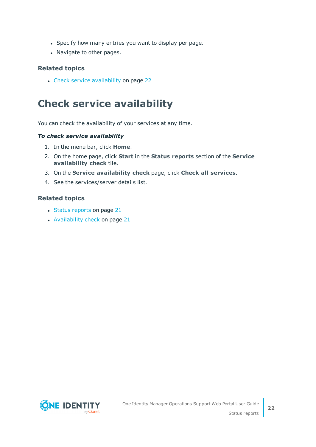- Specify how many entries you want to display per page.
- Navigate to other pages.

#### **Related topics**

• Check service [availability](#page-21-0) on page 22

## <span id="page-21-0"></span>**Check service availability**

You can check the availability of your services at any time.

#### *To check service availability*

- 1. In the menu bar, click **Home**.
- 2. On the home page, click **Start** in the **Status reports** section of the **Service availability check** tile.
- 3. On the **Service availability check** page, click **Check all services**.
- 4. See the services/server details list.

- Status [reports](#page-20-0) on page 21
- [Availability](#page-20-1) check on page 21

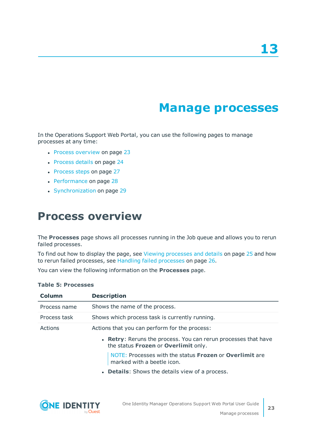## **Manage processes**

<span id="page-22-0"></span>In the Operations Support Web Portal, you can use the following pages to manage processes at any time:

- Process [overview](#page-22-1) on page 23
- [Process](#page-23-0) details on page 24
- [Process](#page-26-0) steps on page 27
- [Performance](#page-27-0) on page 28
- <span id="page-22-1"></span>• [Synchronization](#page-28-0) on page 29

## **Process overview**

The **Processes** page shows all processes running in the Job queue and allows you to rerun failed processes.

To find out how to display the page, see Viewing [processes](#page-24-0) and details on page 25 and how to rerun failed processes, see Handling failed [processes](#page-25-0) on page 26.

You can view the following information on the **Processes** page.

| Column       | <b>Description</b>                                                                                     |
|--------------|--------------------------------------------------------------------------------------------------------|
| Process name | Shows the name of the process.                                                                         |
| Process task | Shows which process task is currently running.                                                         |
| Actions      | Actions that you can perform for the process:                                                          |
|              | • Retry: Reruns the process. You can rerun processes that have<br>the status Frozen or Overlimit only. |
|              | NOTE: Processes with the status Frozen or Overlimit are<br>marked with a beetle icon.                  |
|              | • Details: Shows the details view of a process.                                                        |
|              |                                                                                                        |

#### **Table 5: Processes**

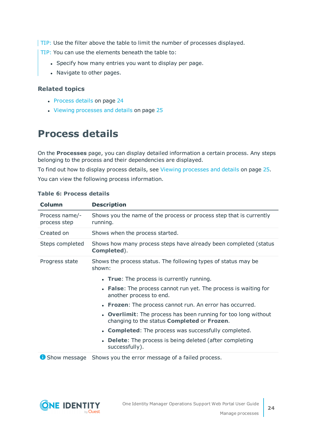TIP: Use the filter above the table to limit the number of processes displayed.

TIP: You can use the elements beneath the table to:

- Specify how many entries you want to display per page.
- Navigate to other pages.

#### **Related topics**

- [Process](#page-23-0) details on page 24
- Viewing [processes](#page-24-0) and details on page 25

### <span id="page-23-0"></span>**Process details**

On the **Processes** page, you can display detailed information a certain process. Any steps belonging to the process and their dependencies are displayed.

To find out how to display process details, see Viewing [processes](#page-24-0) and details on page 25. You can view the following process information.

| Column                         | <b>Description</b>                                                                                                                |
|--------------------------------|-----------------------------------------------------------------------------------------------------------------------------------|
| Process name/-<br>process step | Shows you the name of the process or process step that is currently<br>running.                                                   |
| Created on                     | Shows when the process started.                                                                                                   |
| Steps completed                | Shows how many process steps have already been completed (status<br>Completed).                                                   |
| Progress state                 | Shows the process status. The following types of status may be<br>shown:                                                          |
|                                | • True: The process is currently running.                                                                                         |
|                                | • False: The process cannot run yet. The process is waiting for<br>another process to end.                                        |
|                                | • Frozen: The process cannot run. An error has occurred.                                                                          |
|                                | <b>Overlimit:</b> The process has been running for too long without<br>changing to the status <b>Completed</b> or <b>Frozen</b> . |
|                                | • Completed: The process was successfully completed.                                                                              |
|                                | <b>Delete:</b> The process is being deleted (after completing<br>successfully).                                                   |
|                                |                                                                                                                                   |

#### **Table 6: Process details**

**C** Show message Shows you the error message of a failed process.

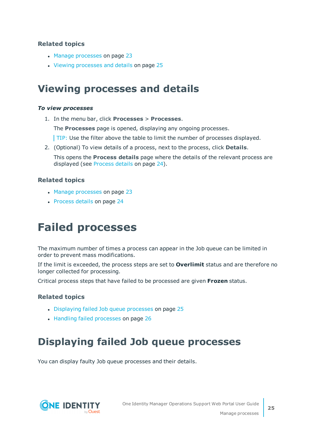#### **Related topics**

- Manage [processes](#page-22-0) on page 23
- Viewing [processes](#page-24-0) and details on page 25

### <span id="page-24-0"></span>**Viewing processes and details**

#### *To view processes*

1. In the menu bar, click **Processes** > **Processes**.

The **Processes** page is opened, displaying any ongoing processes.

- TIP: Use the filter above the table to limit the number of processes displayed.
- 2. (Optional) To view details of a process, next to the process, click **Details**.

This opens the **Process details** page where the details of the relevant process are displayed (see [Process](#page-23-0) details on page 24).

#### **Related topics**

- Manage [processes](#page-22-0) on page 23
- <span id="page-24-1"></span>• [Process](#page-23-0) details on page 24

## **Failed processes**

The maximum number of times a process can appear in the Job queue can be limited in order to prevent mass modifications.

If the limit is exceeded, the process steps are set to **Overlimit** status and are therefore no longer collected for processing.

Critical process steps that have failed to be processed are given **Frozen** status.

#### **Related topics**

- [Displaying](#page-24-2) failed Job queue processes on page 25
- Handling failed [processes](#page-25-0) on page 26

## <span id="page-24-2"></span>**Displaying failed Job queue processes**

You can display faulty Job queue processes and their details.

![](_page_24_Picture_22.jpeg)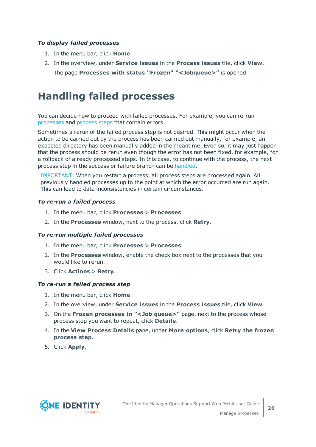#### *To display failed processes*

- 1. In the menu bar, click **Home**.
- 2. In the overview, under **Service issues** in the **Process issues** tile, click **View**.
	- The page **Processes with status "Frozen" "<Jobqueue>"** is opened.

### <span id="page-25-0"></span>**Handling failed processes**

You can decide how to proceed with failed processes. For example, you can re-run [processes](#page-25-1) and [process](#page-25-2) steps that contain errors.

Sometimes a rerun of the failed process step is not desired. This might occur when the action to be carried out by the process has been carried out manually, for example, an expected directory has been manually added in the meantime. Even so, it may just happen that the process should be rerun even though the error has not been fixed, for example, for a rollback of already processed steps. In this case, to continue with the process, the next process step in the success or failure branch can be [handled](#page-26-2).

IMPORTANT: When you restart a process, all process steps are processed again. All previously handled processes up to the point at which the error occurred are run again. This can lead to data inconsistencies in certain circumstances.

#### <span id="page-25-1"></span>*To re-run a failed process*

- 1. In the menu bar, click **Processes** > **Processes**.
- 2. In the **Processes** window, next to the process, click **Retry**.

#### *To re-run multiple failed processes*

- 1. In the menu bar, click **Processes** > **Processes**.
- 2. In the **Processes** window, enable the check box next to the processes that you would like to rerun.
- 3. Click **Actions** > **Retry**.

#### <span id="page-25-2"></span>*To re-run a failed process step*

- 1. In the menu bar, click **Home**.
- 2. In the overview, under **Service issues** in the **Process issues** tile, click **View**.
- 3. On the **Frozen processes in "<Job queue>"** page, next to the process whose process step you want to repeat, click **Details**.
- 4. In the **View Process Details** pane, under **More options**, click **Retry the frozen process step**.
- 5. Click **Apply**.

![](_page_25_Picture_21.jpeg)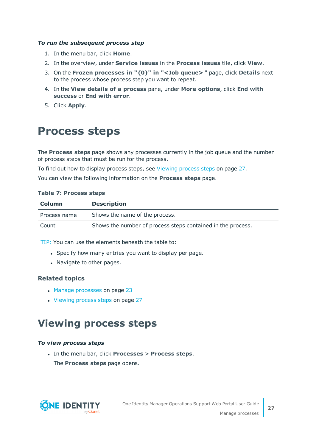#### <span id="page-26-2"></span>*To run the subsequent process step*

- 1. In the menu bar, click **Home**.
- 2. In the overview, under **Service issues** in the **Process issues** tile, click **View**.
- 3. On the **Frozen processes in "{0}" in "<Job queue>** " page, click **Details** next to the process whose process step you want to repeat.
- 4. In the **View details of a process** pane, under **More options**, click **End with success** or **End with error**.
- <span id="page-26-0"></span>5. Click **Apply**.

## **Process steps**

The **Process steps** page shows any processes currently in the job queue and the number of process steps that must be run for the process.

To find out how to display process steps, see [Viewing](#page-26-1) process steps on page 27.

You can view the following information on the **Process steps** page.

#### **Table 7: Process steps**

| <b>Column</b> | <b>Description</b>                                          |
|---------------|-------------------------------------------------------------|
| Process name  | Shows the name of the process.                              |
| Count         | Shows the number of process steps contained in the process. |

 $TIP:$  You can use the elements beneath the table to:

- Specify how many entries you want to display per page.
- Navigate to other pages.

#### **Related topics**

- Manage [processes](#page-22-0) on page 23
- [Viewing](#page-26-1) process steps on page 27

### <span id="page-26-1"></span>**Viewing process steps**

#### *To view process steps*

<sup>l</sup> In the menu bar, click **Processes** > **Process steps**. The **Process steps** page opens.

![](_page_26_Picture_21.jpeg)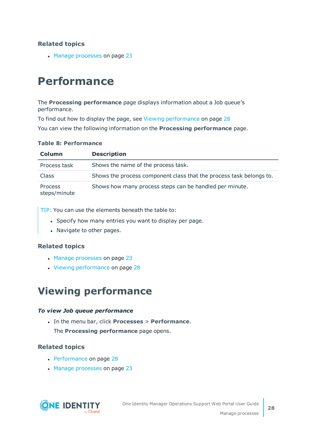#### **Related topics**

• Manage [processes](#page-22-0) on page 23

# <span id="page-27-0"></span>**Performance**

The **Processing performance** page displays information about a Job queue's performance.

To find out how to display the page, see Viewing [performance](#page-27-1) on page 28 You can view the following information on the **Processing performance** page.

#### **Table 8: Performance**

| <b>Column</b>                  | <b>Description</b>                                                  |
|--------------------------------|---------------------------------------------------------------------|
| Process task                   | Shows the name of the process task.                                 |
| <b>Class</b>                   | Shows the process component class that the process task belongs to. |
| <b>Process</b><br>steps/minute | Shows how many process steps can be handled per minute.             |

TIP: You can use the elements beneath the table to:

- Specify how many entries you want to display per page.
- Navigate to other pages.

#### **Related topics**

- Manage [processes](#page-22-0) on page 23
- $\cdot$  Viewing [performance](#page-27-1) on page 28

### <span id="page-27-1"></span>**Viewing performance**

#### *To view Job queue performance*

<sup>l</sup> In the menu bar, click **Processes** > **Performance**.

The **Processing performance** page opens.

- [Performance](#page-27-0) on page 28
- Manage [processes](#page-22-0) on page 23

![](_page_27_Picture_20.jpeg)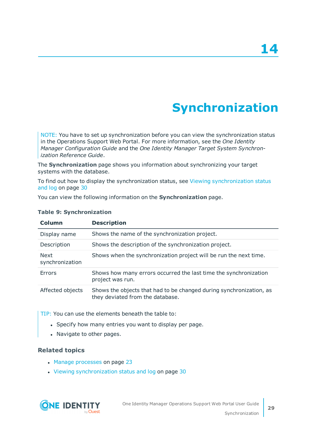# **Synchronization**

<span id="page-28-0"></span>NOTE: You have to set up synchronization before you can view the synchronization status in the Operations Support Web Portal. For more information, see the *One Identity Manager Configuration Guide* and the *One Identity Manager Target System Synchronization Reference Guide*.

The **Synchronization** page shows you information about synchronizing your target systems with the database.

To find out how to display the synchronization status, see Viewing [synchronization](#page-29-1) status and log on [page](#page-29-1) 30

You can view the following information on the **Synchronization** page.

| Column                         | <b>Description</b>                                                                                      |
|--------------------------------|---------------------------------------------------------------------------------------------------------|
| Display name                   | Shows the name of the synchronization project.                                                          |
| Description                    | Shows the description of the synchronization project.                                                   |
| <b>Next</b><br>synchronization | Shows when the synchronization project will be run the next time.                                       |
| Errors                         | Shows how many errors occurred the last time the synchronization<br>project was run.                    |
| Affected objects               | Shows the objects that had to be changed during synchronization, as<br>they deviated from the database. |

#### **Table 9: Synchronization**

TIP: You can use the elements beneath the table to:

- Specify how many entries you want to display per page.
- Navigate to other pages.

- Manage [processes](#page-22-0) on page 23
- Viewing [synchronization](#page-29-1) status and log on page 30

![](_page_28_Picture_14.jpeg)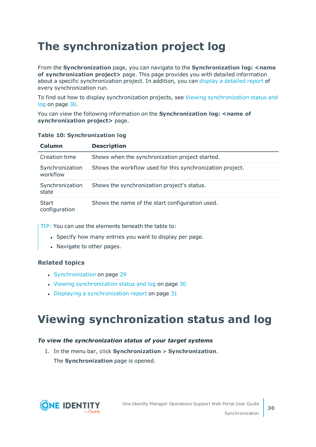# <span id="page-29-0"></span>**The synchronization project log**

From the **Synchronization** page, you can navigate to the **Synchronization log: <name of synchronization project>** page. This page provides you with detailed information about a specific synchronization project. In addition, you can display a [detailed](#page-30-0) report of every synchronization run.

To find out how to display synchronization projects, see Viewing [synchronization](#page-29-1) status and log on [page](#page-29-1) 30.

You can view the following information on the **Synchronization log: <name of synchronization project>** page.

#### **Table 10: Synchronization log**

| Column                        | <b>Description</b>                                        |
|-------------------------------|-----------------------------------------------------------|
| Creation time                 | Shows when the synchronization project started.           |
| Synchronization<br>workflow   | Shows the workflow used for this synchronization project. |
| Synchronization<br>state      | Shows the synchronization project's status.               |
| <b>Start</b><br>configuration | Shows the name of the start configuration used.           |

TIP: You can use the elements beneath the table to:

- Specify how many entries you want to display per page.
- Navigate to other pages.

#### **Related topics**

- [Synchronization](#page-28-0) on page 29
- Viewing [synchronization](#page-29-1) status and log on page 30
- $\bullet$  Displaying a [synchronization](#page-30-0) report on page 31

# <span id="page-29-1"></span>**Viewing synchronization status and log**

#### *To view the synchronization status of your target systems*

1. In the menu bar, click **Synchronization** > **Synchronization**. The **Synchronization** page is opened.

![](_page_29_Picture_16.jpeg)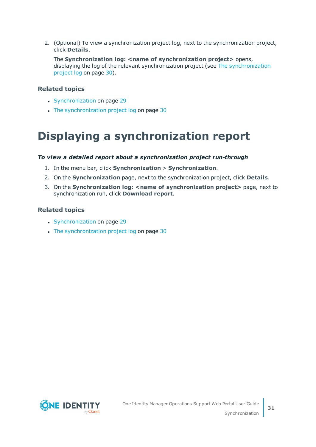2. (Optional) To view a synchronization project log, next to the synchronization project, click **Details**.

The **Synchronization log: <name of synchronization project>** opens, displaying the log of the relevant synchronization project (see The [synchronization](#page-29-0) [project](#page-29-0) log on page 30).

#### **Related topics**

- [Synchronization](#page-28-0) on page 29
- $\cdot$  The [synchronization](#page-29-0) project log on page 30

## <span id="page-30-0"></span>**Displaying a synchronization report**

#### *To view a detailed report about a synchronization project run-through*

- 1. In the menu bar, click **Synchronization** > **Synchronization**.
- 2. On the **Synchronization** page, next to the synchronization project, click **Details**.
- 3. On the **Synchronization log: <name of synchronization project>** page, next to synchronization run, click **Download report**.

- [Synchronization](#page-28-0) on page 29
- The [synchronization](#page-29-0) project log on page 30

![](_page_30_Picture_13.jpeg)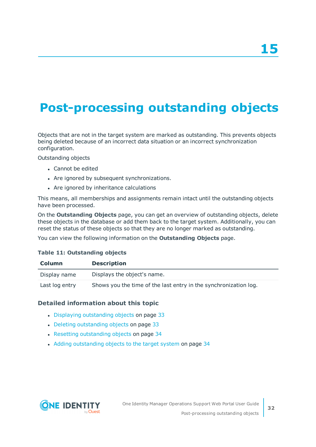# <span id="page-31-0"></span>**Post-processing outstanding objects**

Objects that are not in the target system are marked as outstanding. This prevents objects being deleted because of an incorrect data situation or an incorrect synchronization configuration.

Outstanding objects

- . Cannot be edited
- Are ignored by subsequent synchronizations.
- Are ignored by inheritance calculations

This means, all memberships and assignments remain intact until the outstanding objects have been processed.

On the **Outstanding Objects** page, you can get an overview of outstanding objects, delete these objects in the database or add them back to the target system. Additionally, you can reset the status of these objects so that they are no longer marked as outstanding.

You can view the following information on the **Outstanding Objects** page.

#### **Table 11: Outstanding objects**

| <b>Column</b>  | <b>Description</b>                                               |
|----------------|------------------------------------------------------------------|
| Display name   | Displays the object's name.                                      |
| Last log entry | Shows you the time of the last entry in the synchronization log. |

#### **Detailed information about this topic**

- Displaying [outstanding](#page-32-0) objects on page 33
- Deleting [outstanding](#page-32-1) objects on page 33
- Resetting [outstanding](#page-33-0) objects on page 34
- Adding [outstanding](#page-33-1) objects to the target system on page 34

![](_page_31_Picture_17.jpeg)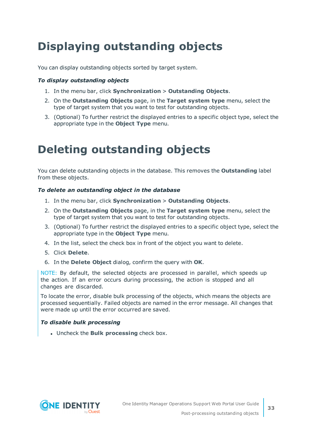# <span id="page-32-0"></span>**Displaying outstanding objects**

You can display outstanding objects sorted by target system.

#### *To display outstanding objects*

- 1. In the menu bar, click **Synchronization** > **Outstanding Objects**.
- 2. On the **Outstanding Objects** page, in the **Target system type** menu, select the type of target system that you want to test for outstanding objects.
- 3. (Optional) To further restrict the displayed entries to a specific object type, select the appropriate type in the **Object Type** menu.

# <span id="page-32-1"></span>**Deleting outstanding objects**

You can delete outstanding objects in the database. This removes the **Outstanding** label from these objects.

#### *To delete an outstanding object in the database*

- 1. In the menu bar, click **Synchronization** > **Outstanding Objects**.
- 2. On the **Outstanding Objects** page, in the **Target system type** menu, select the type of target system that you want to test for outstanding objects.
- 3. (Optional) To further restrict the displayed entries to a specific object type, select the appropriate type in the **Object Type** menu.
- 4. In the list, select the check box in front of the object you want to delete.
- 5. Click **Delete**.
- 6. In the **Delete Object** dialog, confirm the query with **OK**.

NOTE: By default, the selected objects are processed in parallel, which speeds up the action. If an error occurs during processing, the action is stopped and all changes are discarded.

To locate the error, disable bulk processing of the objects, which means the objects are processed sequentially. Failed objects are named in the error message. All changes that were made up until the error occurred are saved.

#### *To disable bulk processing*

<sup>l</sup> Uncheck the **Bulk processing** check box.

![](_page_32_Picture_19.jpeg)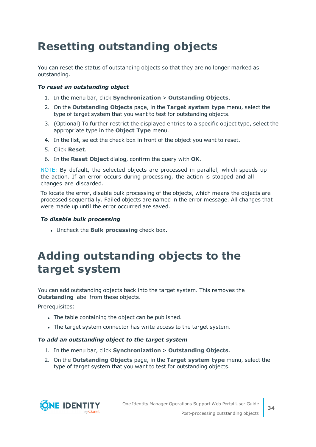# <span id="page-33-0"></span>**Resetting outstanding objects**

You can reset the status of outstanding objects so that they are no longer marked as outstanding.

#### *To reset an outstanding object*

- 1. In the menu bar, click **Synchronization** > **Outstanding Objects**.
- 2. On the **Outstanding Objects** page, in the **Target system type** menu, select the type of target system that you want to test for outstanding objects.
- 3. (Optional) To further restrict the displayed entries to a specific object type, select the appropriate type in the **Object Type** menu.
- 4. In the list, select the check box in front of the object you want to reset.
- 5. Click **Reset**.
- 6. In the **Reset Object** dialog, confirm the query with **OK**.

NOTE: By default, the selected objects are processed in parallel, which speeds up the action. If an error occurs during processing, the action is stopped and all changes are discarded.

To locate the error, disable bulk processing of the objects, which means the objects are processed sequentially. Failed objects are named in the error message. All changes that were made up until the error occurred are saved.

#### *To disable bulk processing*

<sup>l</sup> Uncheck the **Bulk processing** check box.

## <span id="page-33-1"></span>**Adding outstanding objects to the target system**

You can add outstanding objects back into the target system. This removes the **Outstanding** label from these objects.

Prerequisites:

- The table containing the object can be published.
- The target system connector has write access to the target system.

#### *To add an outstanding object to the target system*

- 1. In the menu bar, click **Synchronization** > **Outstanding Objects**.
- 2. On the **Outstanding Objects** page, in the **Target system type** menu, select the type of target system that you want to test for outstanding objects.

![](_page_33_Picture_21.jpeg)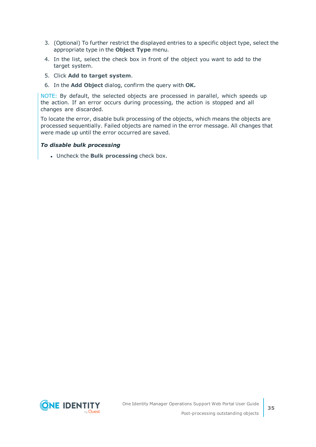- 3. (Optional) To further restrict the displayed entries to a specific object type, select the appropriate type in the **Object Type** menu.
- 4. In the list, select the check box in front of the object you want to add to the target system.
- 5. Click **Add to target system**.
- 6. In the **Add Object** dialog, confirm the query with **OK.**

NOTE: By default, the selected objects are processed in parallel, which speeds up the action. If an error occurs during processing, the action is stopped and all changes are discarded.

To locate the error, disable bulk processing of the objects, which means the objects are processed sequentially. Failed objects are named in the error message. All changes that were made up until the error occurred are saved.

#### *To disable bulk processing*

<sup>l</sup> Uncheck the **Bulk processing** check box.

![](_page_34_Picture_8.jpeg)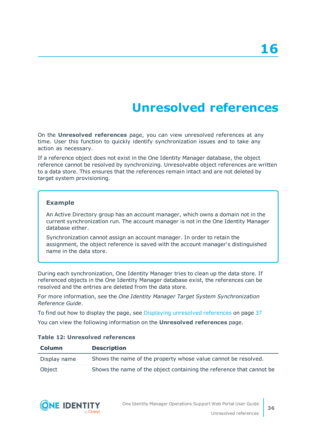# **Unresolved references**

<span id="page-35-0"></span>On the **Unresolved references** page, you can view unresolved references at any time. User this function to quickly identify synchronization issues and to take any action as necessary.

If a reference object does not exist in the One Identity Manager database, the object reference cannot be resolved by synchronizing. Unresolvable object references are written to a data store. This ensures that the references remain intact and are not deleted by target system provisioning.

#### **Example**

An Active Directory group has an account manager, which owns a domain not in the current synchronization run. The account manager is not in the One Identity Manager database either.

Synchronization cannot assign an account manager. In order to retain the assignment, the object reference is saved with the account manager's distinguished name in the data store.

During each synchronization, One Identity Manager tries to clean up the data store. If referenced objects in the One Identity Manager database exist, the references can be resolved and the entries are deleted from the data store.

For more information, see the *One Identity Manager Target System Synchronization Reference Guide*.

To find out how to display the page, see Displaying [unresolved](#page-36-0) references on page 37

You can view the following information on the **Unresolved references** page.

#### **Table 12: Unresolved references**

| <b>Column</b> | <b>Description</b>                                                   |
|---------------|----------------------------------------------------------------------|
| Display name  | Shows the name of the property whose value cannot be resolved.       |
| Object        | Shows the name of the object containing the reference that cannot be |

![](_page_35_Picture_13.jpeg)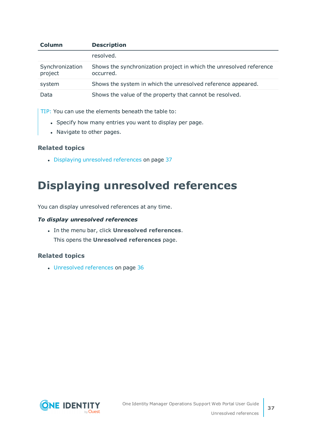| Column                     | <b>Description</b>                                                               |
|----------------------------|----------------------------------------------------------------------------------|
|                            | resolved.                                                                        |
| Synchronization<br>project | Shows the synchronization project in which the unresolved reference<br>occurred. |
| system                     | Shows the system in which the unresolved reference appeared.                     |
| Data                       | Shows the value of the property that cannot be resolved.                         |

TIP: You can use the elements beneath the table to:

- Specify how many entries you want to display per page.
- Navigate to other pages.

#### **Related topics**

• Displaying [unresolved](#page-36-0) references on page 37

# <span id="page-36-0"></span>**Displaying unresolved references**

You can display unresolved references at any time.

#### *To display unresolved references*

- <sup>l</sup> In the menu bar, click **Unresolved references**.
	- This opens the **Unresolved references** page.

#### **Related topics**

• [Unresolved](#page-35-0) references on page 36

![](_page_36_Picture_13.jpeg)

**37**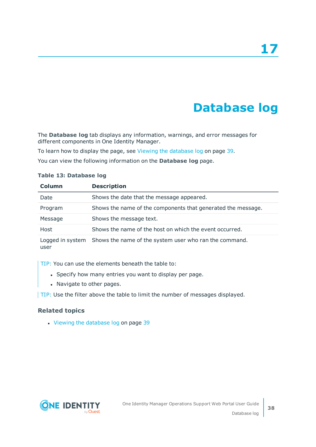# **Database log**

<span id="page-37-0"></span>The **Database log** tab displays any information, warnings, and error messages for different components in One Identity Manager.

To learn how to display the page, see Viewing the [database](#page-38-0) log on page 39.

You can view the following information on the **Database log** page.

| Column  | <b>Description</b>                                                      |
|---------|-------------------------------------------------------------------------|
| Date    | Shows the date that the message appeared.                               |
| Program | Shows the name of the components that generated the message.            |
| Message | Shows the message text.                                                 |
| Host    | Shows the name of the host on which the event occurred.                 |
|         | Logged in system Shows the name of the system user who ran the command. |

#### **Table 13: Database log**

TIP: You can use the elements beneath the table to:

- Specify how many entries you want to display per page.
- Navigate to other pages.

TIP: Use the filter above the table to limit the number of messages displayed.

#### **Related topics**

user

• Viewing the [database](#page-38-0) log on page 39

![](_page_37_Picture_13.jpeg)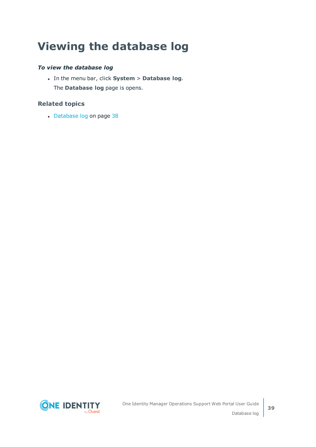# <span id="page-38-0"></span>**Viewing the database log**

#### *To view the database log*

<sup>l</sup> In the menu bar, click **System** > **Database log**. The **Database log** page is opens.

#### **Related topics**

• [Database](#page-37-0) log on page 38

![](_page_38_Picture_5.jpeg)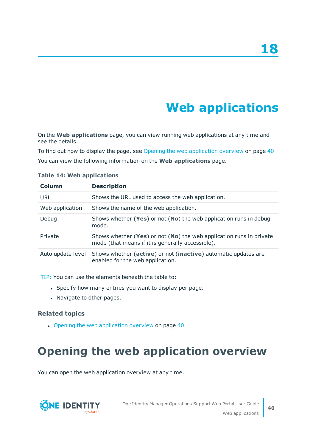# **Web applications**

<span id="page-39-0"></span>On the **Web applications** page, you can view running web applications at any time and see the details.

To find out how to display the page, see Opening the web [application](#page-39-1) overview on page 40 You can view the following information on the **Web applications** page.

| <b>Column</b>     | <b>Description</b>                                                                                                      |
|-------------------|-------------------------------------------------------------------------------------------------------------------------|
| URL               | Shows the URL used to access the web application.                                                                       |
| Web application   | Shows the name of the web application.                                                                                  |
| Debug             | Shows whether (Yes) or not (No) the web application runs in debug<br>mode.                                              |
| Private           | Shows whether (Yes) or not (No) the web application runs in private<br>mode (that means if it is generally accessible). |
| Auto update level | Shows whether (active) or not (inactive) automatic updates are<br>enabled for the web application.                      |

#### **Table 14: Web applications**

TIP: You can use the elements beneath the table to:

- Specify how many entries you want to display per page.
- Navigate to other pages.

#### **Related topics**

 $\cdot$  Opening the web [application](#page-39-1) overview on page 40

# <span id="page-39-1"></span>**Opening the web application overview**

You can open the web application overview at any time.

![](_page_39_Picture_13.jpeg)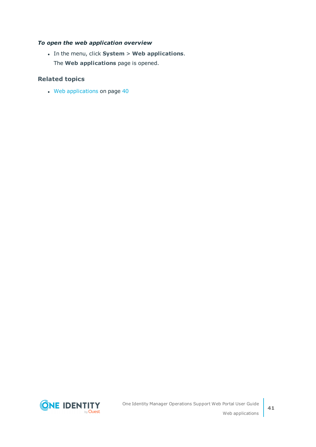#### *To open the web application overview*

<sup>l</sup> In the menu, click **System** > **Web applications**. The **Web applications** page is opened.

#### **Related topics**

• Web [applications](#page-39-0) on page 40

![](_page_40_Picture_4.jpeg)

**41**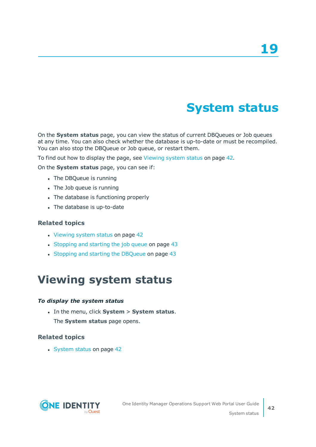# **System status**

<span id="page-41-0"></span>On the **System status** page, you can view the status of current DBQueues or Job queues at any time. You can also check whether the database is up-to-date or must be recompiled. You can also stop the DBQueue or Job queue, or restart them.

To find out how to display the page, see [Viewing](#page-41-1) system status on page 42.

On the **System status** page, you can see if:

- The DBQueue is running
- The Job queue is running
- The database is functioning properly
- The database is up-to-date

#### **Related topics**

- [Viewing](#page-41-1) system status on page 42
- [Stopping](#page-42-0) and starting the job queue on page 43
- <span id="page-41-1"></span>• Stopping and starting the [DBQueue](#page-42-1) on page 43

## **Viewing system status**

#### *To display the system status*

<sup>l</sup> In the menu, click **System** > **System status**. The **System status** page opens.

#### **Related topics**

• [System](#page-41-0) status on page 42

![](_page_41_Picture_18.jpeg)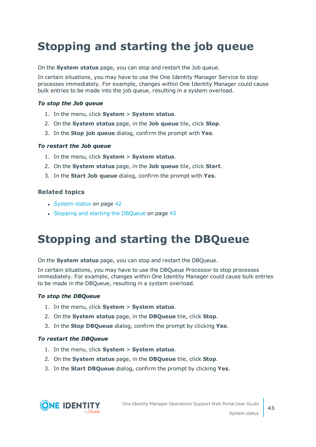# <span id="page-42-0"></span>**Stopping and starting the job queue**

On the **System status** page, you can stop and restart the Job queue.

In certain situations, you may have to use the One Identity Manager Service to stop processes immediately. For example, changes within One Identity Manager could cause bulk entries to be made into the job queue, resulting in a system overload.

#### *To stop the Job queue*

- 1. In the menu, click **System** > **System status**.
- 2. On the **System status** page, in the **Job queue** tile, click **Stop**.
- 3. In the **Stop job queue** dialog, confirm the prompt with **Yes**.

#### *To restart the Job queue*

- 1. In the menu, click **System** > **System status**.
- 2. On the **System status** page, in the **Job queue** tile, click **Start**.
- 3. In the **Start Job queue** dialog, confirm the prompt with **Yes**.

#### **Related topics**

- [System](#page-41-0) status on page 42
- <span id="page-42-1"></span>• Stopping and starting the [DBQueue](#page-42-1) on page 43

## **Stopping and starting the DBQueue**

On the **System status** page, you can stop and restart the DBQueue.

In certain situations, you may have to use the DBQueue Processor to stop processes immediately. For example, changes within One Identity Manager could cause bulk entries to be made in the DBQueue, resulting in a system overload.

#### *To stop the DBQueue*

- 1. In the menu, click **System** > **System status**.
- 2. On the **System status** page, in the **DBQueue** tile, click **Stop**.
- 3. In the **Stop DBQueue** dialog, confirm the prompt by clicking **Yes**.

#### *To restart the DBQueue*

- 1. In the menu, click **System** > **System status**.
- 2. On the **System status** page, in the **DBQueue** tile, click **Stop**.
- 3. In the **Start DBQueue** dialog, confirm the prompt by clicking **Yes**.

![](_page_42_Picture_25.jpeg)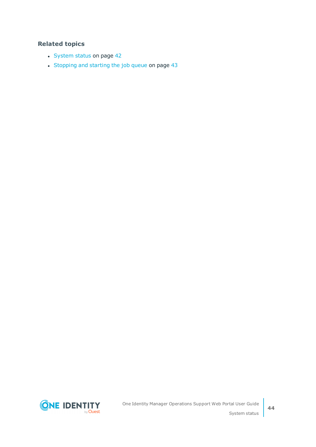#### **Related topics**

- [System](#page-41-0) status on page 42
- [Stopping](#page-42-0) and starting the job queue on page 43

**ONE IDENTITY** by Quest

**44**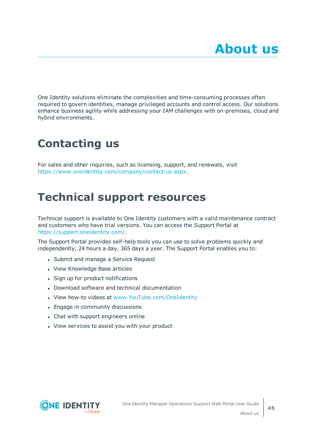<span id="page-44-0"></span>One Identity solutions eliminate the complexities and time-consuming processes often required to govern identities, manage privileged accounts and control access. Our solutions enhance business agility while addressing your IAM challenges with on-premises, cloud and hybrid environments.

# <span id="page-44-1"></span>**Contacting us**

For sales and other inquiries, such as licensing, support, and renewals, visit <https://www.oneidentity.com/company/contact-us.aspx>.

## <span id="page-44-2"></span>**Technical support resources**

Technical support is available to One Identity customers with a valid maintenance contract and customers who have trial versions. You can access the Support Portal at [https://support.oneidentity.com/.](https://support.oneidentity.com/)

The Support Portal provides self-help tools you can use to solve problems quickly and independently, 24 hours a day, 365 days a year. The Support Portal enables you to:

- Submit and manage a Service Request
- View Knowledge Base articles
- Sign up for product notifications
- Download software and technical documentation
- View how-to videos at [www.YouTube.com/OneIdentity](http://www.youtube.com/OneIdentity)
- Engage in community discussions
- Chat with support engineers online
- View services to assist you with your product

![](_page_44_Picture_15.jpeg)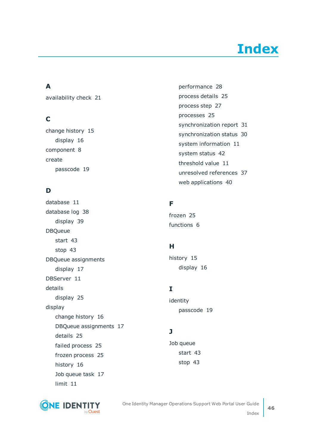# **Index**

### <span id="page-45-0"></span>**A**

availability check [21](#page-20-1)

### **C**

change history [15](#page-14-0) display [16](#page-15-0) component [8](#page-7-0) create passcode [19](#page-18-0)

### **D**

database [11](#page-10-0) database log [38](#page-37-0) display [39](#page-38-0) DBQueue start [43](#page-42-1) stop [43](#page-42-1) DBQueue assignments display [17](#page-16-0) DBServer [11](#page-10-0) details display [25](#page-24-0) display change history [16](#page-15-0) DBQueue assignments [17](#page-16-0) details [25](#page-24-0) failed process [25](#page-24-2) frozen process [25](#page-24-2) history [16](#page-15-0) Job queue task [17](#page-16-0) limit [11](#page-10-1)

performance [28](#page-27-1) process details [25](#page-24-0) process step [27](#page-26-1) processes [25](#page-24-0) synchronization report [31](#page-30-0) synchronization status [30](#page-29-1) system information [11](#page-10-1) system status [42](#page-41-1) threshold value [11](#page-10-1) unresolved references [37](#page-36-0) web applications [40](#page-39-1)

### **F**

frozen [25](#page-24-2) functions [6](#page-5-0)

### **H**

history [15](#page-14-0) display [16](#page-15-0)

### **I**

identity passcode [19](#page-18-0)

### **J**

Job queue start [43](#page-42-0) stop [43](#page-42-0)

![](_page_45_Picture_16.jpeg)

One Identity Manager Operations Support Web Portal User Guide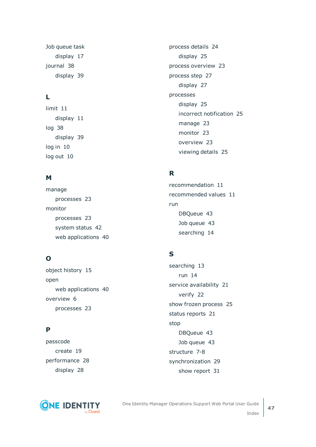Job queue task display [17](#page-16-0) journal [38](#page-37-0) display [39](#page-38-0)

### **L**

limit [11](#page-10-0) display [11](#page-10-1) log [38](#page-37-0) display [39](#page-38-0) log in [10](#page-9-0) log out [10](#page-9-0)

#### **M**

manage processes [23](#page-22-0) monitor processes [23](#page-22-0) system status [42](#page-41-0) web applications [40](#page-39-0)

### **O**

object history [15](#page-14-0) open web applications [40](#page-39-1) overview [6](#page-5-0) processes [23](#page-22-1)

### **P**

passcode create [19](#page-18-0) performance [28](#page-27-0) display [28](#page-27-1)

![](_page_46_Picture_9.jpeg)

process details [24](#page-23-0) display [25](#page-24-0) process overview [23](#page-22-1) process step [27](#page-26-0) display [27](#page-26-1) processes display [25](#page-24-0) incorrect notification [25](#page-24-2) manage [23](#page-22-0) monitor [23](#page-22-0) overview [23](#page-22-1) viewing details [25](#page-24-0)

### **R**

recommendation [11](#page-10-0) recommended values [11](#page-10-0) run DBQueue [43](#page-42-1) Job queue [43](#page-42-0) searching [14](#page-13-0)

### **S**

searching [13](#page-12-0) run [14](#page-13-0) service availability [21](#page-20-1) verify [22](#page-21-0) show frozen process [25](#page-24-2) status reports [21](#page-20-0) stop DBQueue [43](#page-42-1) Job queue [43](#page-42-0) structure [7-8](#page-6-0) synchronization [29](#page-28-0) show report [31](#page-30-0)